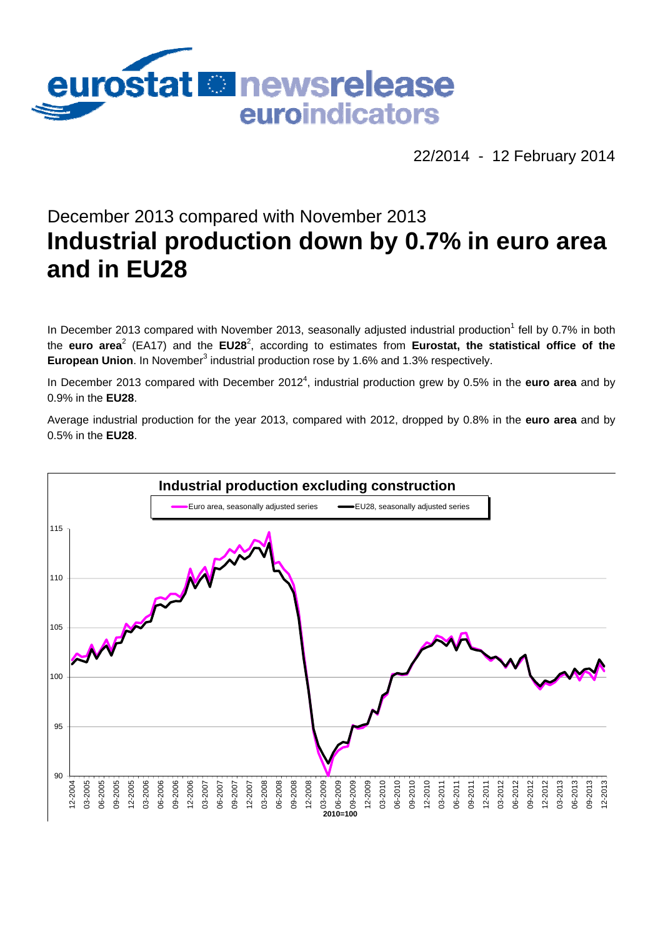

22/2014 - 12 February 2014

# December 2013 compared with November 2013 **Industrial production down by 0.7% in euro area and in EU28**

In December 2013 compared with November 2013, seasonally adjusted industrial production<sup>1</sup> fell by 0.7% in both the euro area<sup>2</sup> (EA17) and the EU28<sup>2</sup>, according to estimates from Eurostat, the statistical office of the European Union. In November<sup>3</sup> industrial production rose by 1.6% and 1.3% respectively.

In December 2013 compared with December 2012<sup>4</sup>, industrial production grew by 0.5% in the **euro area** and by 0.9% in the **EU28**.

Average industrial production for the year 2013, compared with 2012, dropped by 0.8% in the **euro area** and by 0.5% in the **EU28**.

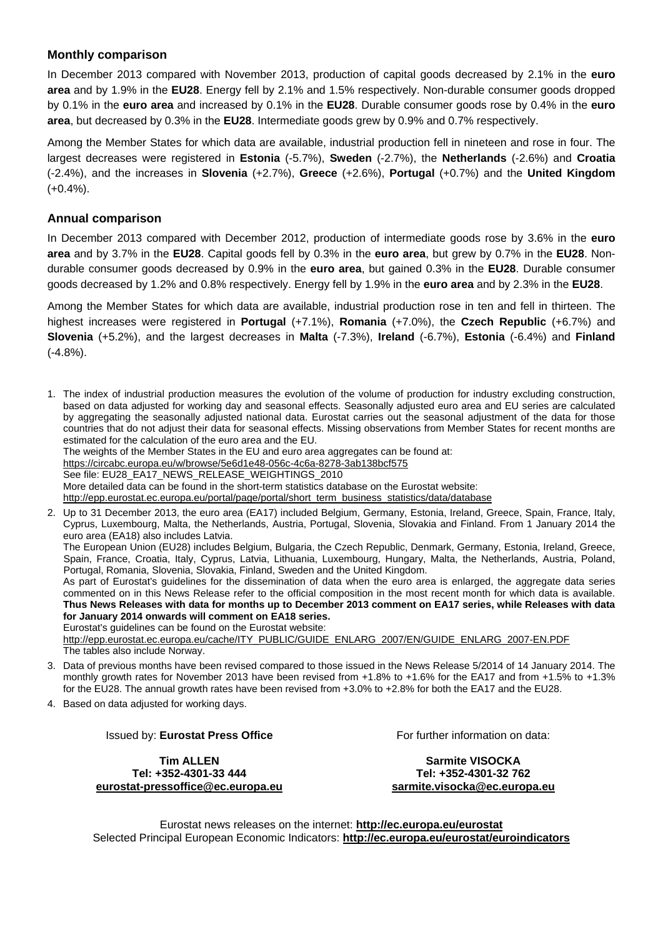#### **Monthly comparison**

In December 2013 compared with November 2013, production of capital goods decreased by 2.1% in the **euro area** and by 1.9% in the **EU28**. Energy fell by 2.1% and 1.5% respectively. Non-durable consumer goods dropped by 0.1% in the **euro area** and increased by 0.1% in the **EU28**. Durable consumer goods rose by 0.4% in the **euro area**, but decreased by 0.3% in the **EU28**. Intermediate goods grew by 0.9% and 0.7% respectively.

Among the Member States for which data are available, industrial production fell in nineteen and rose in four. The largest decreases were registered in **Estonia** (-5.7%), **Sweden** (-2.7%), the **Netherlands** (-2.6%) and **Croatia**  (-2.4%), and the increases in **Slovenia** (+2.7%), **Greece** (+2.6%), **Portugal** (+0.7%) and the **United Kingdom**  $(+0.4\%)$ .

#### **Annual comparison**

In December 2013 compared with December 2012, production of intermediate goods rose by 3.6% in the **euro area** and by 3.7% in the **EU28**. Capital goods fell by 0.3% in the **euro area**, but grew by 0.7% in the **EU28**. Nondurable consumer goods decreased by 0.9% in the **euro area**, but gained 0.3% in the **EU28**. Durable consumer goods decreased by 1.2% and 0.8% respectively. Energy fell by 1.9% in the **euro area** and by 2.3% in the **EU28**.

Among the Member States for which data are available, industrial production rose in ten and fell in thirteen. The highest increases were registered in **Portugal** (+7.1%), **Romania** (+7.0%), the **Czech Republic** (+6.7%) and **Slovenia** (+5.2%), and the largest decreases in **Malta** (-7.3%), **Ireland** (-6.7%), **Estonia** (-6.4%) and **Finland** (-4.8%).

1. The index of industrial production measures the evolution of the volume of production for industry excluding construction, based on data adjusted for working day and seasonal effects. Seasonally adjusted euro area and EU series are calculated by aggregating the seasonally adjusted national data. Eurostat carries out the seasonal adjustment of the data for those countries that do not adjust their data for seasonal effects. Missing observations from Member States for recent months are estimated for the calculation of the euro area and the EU.

The weights of the Member States in the EU and euro area aggregates can be found at:

<https://circabc.europa.eu/w/browse/5e6d1e48-056c-4c6a-8278-3ab138bcf575>

See file: EU28\_EA17\_NEWS\_RELEASE\_WEIGHTINGS\_2010

More detailed data can be found in the short-term statistics database on the Eurostat website:

[http://epp.eurostat.ec.europa.eu/portal/page/portal/short\\_term\\_business\\_statistics/data/database](http://epp.eurostat.ec.europa.eu/portal/page/portal/short_term_business_statistics/data/database) 

2. Up to 31 December 2013, the euro area (EA17) included Belgium, Germany, Estonia, Ireland, Greece, Spain, France, Italy, Cyprus, Luxembourg, Malta, the Netherlands, Austria, Portugal, Slovenia, Slovakia and Finland. From 1 January 2014 the euro area (EA18) also includes Latvia.

The European Union (EU28) includes Belgium, Bulgaria, the Czech Republic, Denmark, Germany, Estonia, Ireland, Greece, Spain, France, Croatia, Italy, Cyprus, Latvia, Lithuania, Luxembourg, Hungary, Malta, the Netherlands, Austria, Poland, Portugal, Romania, Slovenia, Slovakia, Finland, Sweden and the United Kingdom.

As part of Eurostat's guidelines for the dissemination of data when the euro area is enlarged, the aggregate data series commented on in this News Release refer to the official composition in the most recent month for which data is available. **Thus News Releases with data for months up to December 2013 comment on EA17 series, while Releases with data for January 2014 onwards will comment on EA18 series.**

Eurostat's guidelines can be found on the Eurostat website:

[http://epp.eurostat.ec.europa.eu/cache/ITY\\_PUBLIC/GUIDE\\_ENLARG\\_2007/EN/GUIDE\\_ENLARG\\_2007-EN.PDF](http://epp.eurostat.ec.europa.eu/cache/ITY_PUBLIC/GUIDE_ENLARG_2007/EN/GUIDE_ENLARG_2007-EN.PDF)  The tables also include Norway.

- 3. Data of previous months have been revised compared to those issued in the News Release 5/2014 of 14 January 2014. The monthly growth rates for November 2013 have been revised from +1.8% to +1.6% for the EA17 and from +1.5% to +1.3% for the EU28. The annual growth rates have been revised from +3.0% to +2.8% for both the EA17 and the EU28.
- 4. Based on data adjusted for working days.

Issued by: **Eurostat Press Office** 

**Tim ALLEN Tel: +352-4301-33 444 [eurostat-pressoffice@ec.europa.eu](mailto:eurostat-pressoffice@ec.europa.eu)**  For further information on data:

**Sarmite VISOCKA Tel: +352-4301-32 762 [sarmite.visocka@ec.europa.eu](mailto:sarmite.visocka@ec.europa.eu)** 

Eurostat news releases on the internet: **<http://ec.europa.eu/eurostat>** Selected Principal European Economic Indicators: **<http://ec.europa.eu/eurostat/euroindicators>**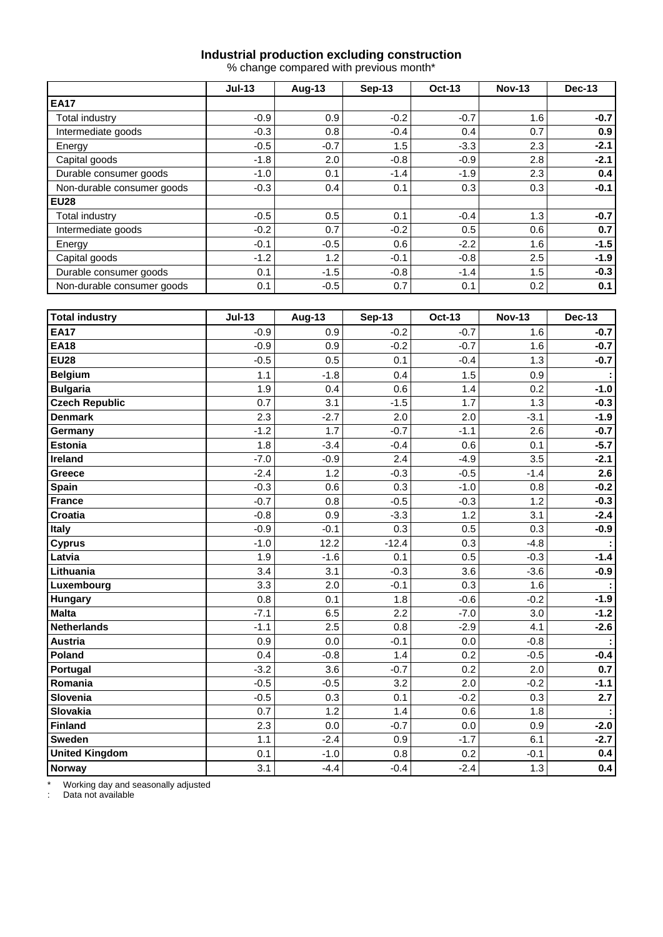#### **Industrial production excluding construction**

% change compared with previous month\*

|                            | $Jul-13$ | <b>Aug-13</b> | <b>Sep-13</b> | <b>Oct-13</b> | <b>Nov-13</b> | Dec-13 |  |
|----------------------------|----------|---------------|---------------|---------------|---------------|--------|--|
| <b>EA17</b>                |          |               |               |               |               |        |  |
| Total industry             | $-0.9$   | 0.9           | $-0.2$        | $-0.7$        | 1.6           | $-0.7$ |  |
| Intermediate goods         | $-0.3$   | 0.8           | $-0.4$        | 0.4           | 0.7           | 0.9    |  |
| Energy                     | $-0.5$   | $-0.7$        | 1.5           | $-3.3$        | 2.3           | $-2.1$ |  |
| Capital goods              | $-1.8$   | 2.0           | $-0.8$        | $-0.9$        | 2.8           | $-2.1$ |  |
| Durable consumer goods     | $-1.0$   | 0.1           | $-1.4$        | $-1.9$        | 2.3           | 0.4    |  |
| Non-durable consumer goods | $-0.3$   | 0.4           | 0.1           | 0.3           | 0.3           | $-0.1$ |  |
| <b>EU28</b>                |          |               |               |               |               |        |  |
| Total industry             | $-0.5$   | 0.5           | 0.1           | $-0.4$        | 1.3           | $-0.7$ |  |
| Intermediate goods         | $-0.2$   | 0.7           | $-0.2$        | 0.5           | 0.6           | 0.7    |  |
| Energy                     | $-0.1$   | $-0.5$        | 0.6           | $-2.2$        | 1.6           | $-1.5$ |  |
| Capital goods              | $-1.2$   | 1.2           | $-0.1$        | $-0.8$        | 2.5           | $-1.9$ |  |
| Durable consumer goods     | 0.1      | $-1.5$        | $-0.8$        | $-1.4$        | 1.5           | $-0.3$ |  |
| Non-durable consumer goods | 0.1      | $-0.5$        | 0.7           | 0.1           | 0.2           | 0.1    |  |

| <b>Total industry</b> | $Jul-13$ | Aug-13 | <b>Sep-13</b> | <b>Oct-13</b> | <b>Nov-13</b> | <b>Dec-13</b> |
|-----------------------|----------|--------|---------------|---------------|---------------|---------------|
| <b>EA17</b>           | $-0.9$   | 0.9    | $-0.2$        | $-0.7$        | 1.6           | $-0.7$        |
| <b>EA18</b>           | $-0.9$   | 0.9    | $-0.2$        | $-0.7$        | 1.6           | $-0.7$        |
| <b>EU28</b>           | $-0.5$   | 0.5    | 0.1           | $-0.4$        | 1.3           | $-0.7$        |
| <b>Belgium</b>        | 1.1      | $-1.8$ | 0.4           | 1.5           | 0.9           |               |
| <b>Bulgaria</b>       | 1.9      | 0.4    | 0.6           | 1.4           | 0.2           | $-1.0$        |
| <b>Czech Republic</b> | 0.7      | 3.1    | $-1.5$        | 1.7           | 1.3           | $-0.3$        |
| <b>Denmark</b>        | 2.3      | $-2.7$ | 2.0           | 2.0           | $-3.1$        | $-1.9$        |
| Germany               | $-1.2$   | 1.7    | $-0.7$        | $-1.1$        | 2.6           | $-0.7$        |
| <b>Estonia</b>        | 1.8      | $-3.4$ | $-0.4$        | 0.6           | 0.1           | $-5.7$        |
| Ireland               | $-7.0$   | $-0.9$ | 2.4           | $-4.9$        | 3.5           | $-2.1$        |
| Greece                | $-2.4$   | 1.2    | $-0.3$        | $-0.5$        | $-1.4$        | 2.6           |
| Spain                 | $-0.3$   | 0.6    | 0.3           | $-1.0$        | 0.8           | $-0.2$        |
| France                | $-0.7$   | 0.8    | $-0.5$        | $-0.3$        | 1.2           | $-0.3$        |
| Croatia               | $-0.8$   | 0.9    | $-3.3$        | 1.2           | 3.1           | $-2.4$        |
| <b>Italy</b>          | $-0.9$   | $-0.1$ | 0.3           | 0.5           | 0.3           | $-0.9$        |
| <b>Cyprus</b>         | $-1.0$   | 12.2   | $-12.4$       | 0.3           | $-4.8$        |               |
| Latvia                | 1.9      | $-1.6$ | 0.1           | 0.5           | $-0.3$        | $-1.4$        |
| Lithuania             | 3.4      | 3.1    | $-0.3$        | 3.6           | $-3.6$        | $-0.9$        |
| Luxembourg            | 3.3      | 2.0    | $-0.1$        | 0.3           | 1.6           |               |
| <b>Hungary</b>        | 0.8      | 0.1    | 1.8           | $-0.6$        | $-0.2$        | $-1.9$        |
| <b>Malta</b>          | $-7.1$   | 6.5    | 2.2           | $-7.0$        | 3.0           | $-1.2$        |
| <b>Netherlands</b>    | $-1.1$   | 2.5    | 0.8           | $-2.9$        | 4.1           | $-2.6$        |
| Austria               | 0.9      | 0.0    | $-0.1$        | 0.0           | $-0.8$        |               |
| Poland                | 0.4      | $-0.8$ | 1.4           | 0.2           | $-0.5$        | $-0.4$        |
| Portugal              | $-3.2$   | 3.6    | $-0.7$        | 0.2           | 2.0           | 0.7           |
| Romania               | $-0.5$   | $-0.5$ | 3.2           | 2.0           | $-0.2$        | $-1.1$        |
| Slovenia              | $-0.5$   | 0.3    | 0.1           | $-0.2$        | 0.3           | 2.7           |
| <b>Slovakia</b>       | 0.7      | 1.2    | 1.4           | 0.6           | 1.8           |               |
| Finland               | 2.3      | 0.0    | $-0.7$        | 0.0           | 0.9           | $-2.0$        |
| <b>Sweden</b>         | 1.1      | $-2.4$ | 0.9           | $-1.7$        | 6.1           | $-2.7$        |
| <b>United Kingdom</b> | 0.1      | $-1.0$ | 0.8           | 0.2           | $-0.1$        | 0.4           |
| Norway                | 3.1      | $-4.4$ | $-0.4$        | $-2.4$        | 1.3           | 0.4           |

\* Working day and seasonally adjusted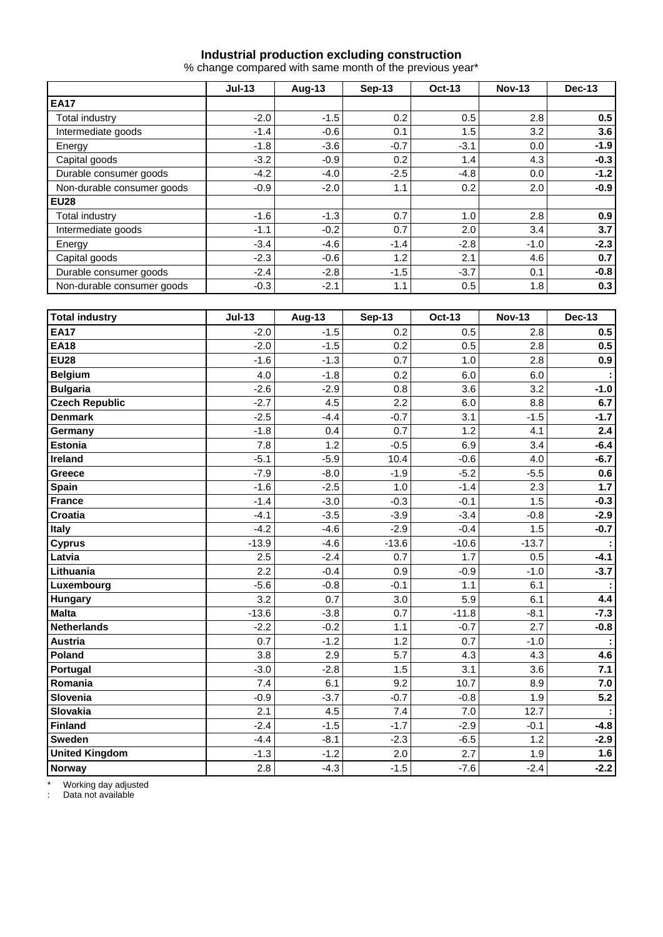#### **Industrial production excluding construction**

% change compared with same month of the previous year\*

|                            | $Jul-13$ | <b>Aug-13</b> | $Sep-13$ | <b>Oct-13</b> | <b>Nov-13</b> | Dec-13 |  |
|----------------------------|----------|---------------|----------|---------------|---------------|--------|--|
| <b>EA17</b>                |          |               |          |               |               |        |  |
| Total industry             | $-2.0$   | $-1.5$        | 0.2      | 0.5           | 2.8           | 0.5    |  |
| Intermediate goods         | $-1.4$   | $-0.6$        | 0.1      | 1.5           | 3.2           | 3.6    |  |
| Energy                     | $-1.8$   | $-3.6$        | $-0.7$   | $-3.1$        | 0.0           | $-1.9$ |  |
| Capital goods              | $-3.2$   | $-0.9$        | 0.2      | 1.4           | 4.3           | $-0.3$ |  |
| Durable consumer goods     | $-4.2$   | $-4.0$        | $-2.5$   | $-4.8$        | 0.0           | $-1.2$ |  |
| Non-durable consumer goods | $-0.9$   | $-2.0$        | 1.1      | 0.2           | 2.0           | $-0.9$ |  |
| <b>EU28</b>                |          |               |          |               |               |        |  |
| Total industry             | $-1.6$   | $-1.3$        | 0.7      | 1.0           | 2.8           | 0.9    |  |
| Intermediate goods         | $-1.1$   | $-0.2$        | 0.7      | 2.0           | 3.4           | 3.7    |  |
| Energy                     | $-3.4$   | $-4.6$        | $-1.4$   | $-2.8$        | $-1.0$        | $-2.3$ |  |
| Capital goods              | $-2.3$   | $-0.6$        | 1.2      | 2.1           | 4.6           | 0.7    |  |
| Durable consumer goods     | $-2.4$   | $-2.8$        | $-1.5$   | $-3.7$        | 0.1           | $-0.8$ |  |
| Non-durable consumer goods | $-0.3$   | $-2.1$        | 1.1      | 0.5           | 1.8           | 0.3    |  |

| <b>Total industry</b> | $Jul-13$ | <b>Aug-13</b> | <b>Sep-13</b> | <b>Oct-13</b> | <b>Nov-13</b> | <b>Dec-13</b> |
|-----------------------|----------|---------------|---------------|---------------|---------------|---------------|
| <b>EA17</b>           | $-2.0$   | $-1.5$        | 0.2           | 0.5           | 2.8           | 0.5           |
| <b>EA18</b>           | $-2.0$   | $-1.5$        | 0.2           | 0.5           | 2.8           | 0.5           |
| <b>EU28</b>           | $-1.6$   | $-1.3$        | 0.7           | 1.0           | 2.8           | 0.9           |
| <b>Belgium</b>        | 4.0      | $-1.8$        | 0.2           | 6.0           | 6.0           |               |
| <b>Bulgaria</b>       | $-2.6$   | $-2.9$        | 0.8           | 3.6           | 3.2           | $-1.0$        |
| <b>Czech Republic</b> | $-2.7$   | 4.5           | 2.2           | 6.0           | 8.8           | 6.7           |
| <b>Denmark</b>        | $-2.5$   | $-4.4$        | $-0.7$        | 3.1           | $-1.5$        | $-1.7$        |
| Germany               | $-1.8$   | 0.4           | 0.7           | 1.2           | 4.1           | 2.4           |
| <b>Estonia</b>        | 7.8      | 1.2           | $-0.5$        | 6.9           | 3.4           | $-6.4$        |
| Ireland               | $-5.1$   | $-5.9$        | 10.4          | $-0.6$        | 4.0           | $-6.7$        |
| Greece                | $-7.9$   | $-8.0$        | $-1.9$        | $-5.2$        | $-5.5$        | 0.6           |
| <b>Spain</b>          | $-1.6$   | $-2.5$        | 1.0           | $-1.4$        | 2.3           | 1.7           |
| France                | $-1.4$   | $-3.0$        | $-0.3$        | $-0.1$        | 1.5           | $-0.3$        |
| Croatia               | $-4.1$   | $-3.5$        | $-3.9$        | $-3.4$        | $-0.8$        | $-2.9$        |
| Italy                 | $-4.2$   | $-4.6$        | $-2.9$        | $-0.4$        | 1.5           | $-0.7$        |
| <b>Cyprus</b>         | $-13.9$  | $-4.6$        | $-13.6$       | $-10.6$       | $-13.7$       |               |
| Latvia                | 2.5      | $-2.4$        | 0.7           | 1.7           | 0.5           | $-4.1$        |
| Lithuania             | 2.2      | $-0.4$        | 0.9           | $-0.9$        | $-1.0$        | $-3.7$        |
| Luxembourg            | $-5.6$   | $-0.8$        | $-0.1$        | 1.1           | 6.1           |               |
| <b>Hungary</b>        | 3.2      | 0.7           | 3.0           | 5.9           | 6.1           | 4.4           |
| <b>Malta</b>          | $-13.6$  | $-3.8$        | 0.7           | $-11.8$       | $-8.1$        | $-7.3$        |
| <b>Netherlands</b>    | $-2.2$   | $-0.2$        | 1.1           | $-0.7$        | 2.7           | $-0.8$        |
| <b>Austria</b>        | 0.7      | $-1.2$        | 1.2           | 0.7           | $-1.0$        |               |
| Poland                | 3.8      | 2.9           | 5.7           | 4.3           | 4.3           | 4.6           |
| Portugal              | $-3.0$   | $-2.8$        | 1.5           | 3.1           | 3.6           | 7.1           |
| Romania               | 7.4      | 6.1           | 9.2           | 10.7          | 8.9           | 7.0           |
| Slovenia              | $-0.9$   | $-3.7$        | $-0.7$        | $-0.8$        | 1.9           | 5.2           |
| Slovakia              | 2.1      | 4.5           | 7.4           | 7.0           | 12.7          |               |
| Finland               | $-2.4$   | $-1.5$        | $-1.7$        | $-2.9$        | $-0.1$        | $-4.8$        |
| <b>Sweden</b>         | $-4.4$   | $-8.1$        | $-2.3$        | $-6.5$        | 1.2           | $-2.9$        |
| <b>United Kingdom</b> | $-1.3$   | $-1.2$        | 2.0           | 2.7           | 1.9           | 1.6           |
| <b>Norway</b>         | 2.8      | $-4.3$        | $-1.5$        | $-7.6$        | $-2.4$        | $-2.2$        |

\* Working day adjusted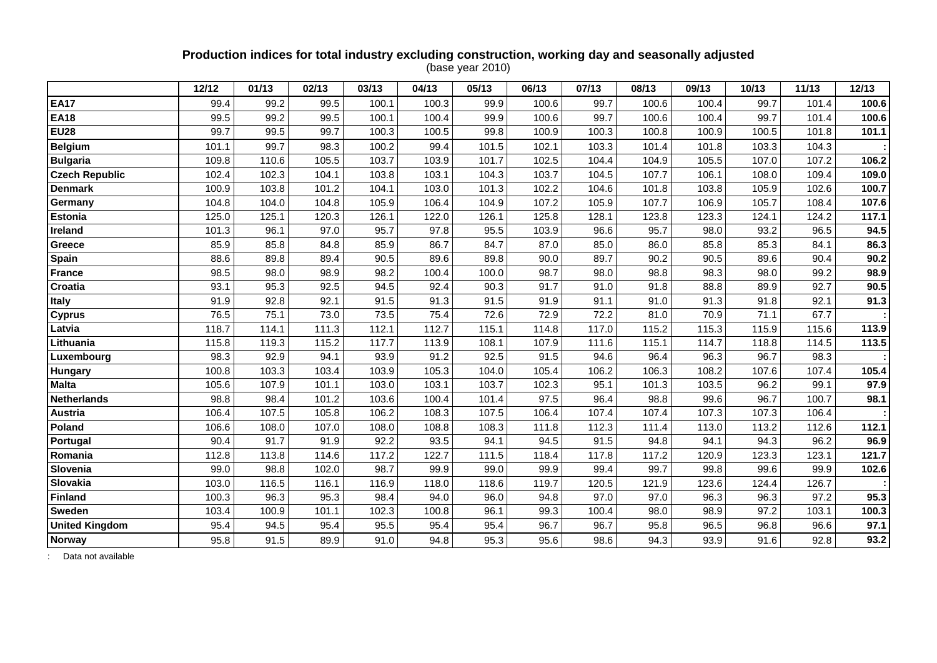## **Production indices for total industry excluding construction, working day and seasonally adjusted**

(base year 2010)

|                       | 12/12 | 01/13 | 02/13 | 03/13 | 04/13 | 05/13 | 06/13 | 07/13 | 08/13 | 09/13 | 10/13 | 11/13 | 12/13 |
|-----------------------|-------|-------|-------|-------|-------|-------|-------|-------|-------|-------|-------|-------|-------|
| <b>EA17</b>           | 99.4  | 99.2  | 99.5  | 100.1 | 100.3 | 99.9  | 100.6 | 99.7  | 100.6 | 100.4 | 99.7  | 101.4 | 100.6 |
| <b>EA18</b>           | 99.5  | 99.2  | 99.5  | 100.1 | 100.4 | 99.9  | 100.6 | 99.7  | 100.6 | 100.4 | 99.7  | 101.4 | 100.6 |
| <b>EU28</b>           | 99.7  | 99.5  | 99.7  | 100.3 | 100.5 | 99.8  | 100.9 | 100.3 | 100.8 | 100.9 | 100.5 | 101.8 | 101.1 |
| <b>Belgium</b>        | 101.1 | 99.7  | 98.3  | 100.2 | 99.4  | 101.5 | 102.1 | 103.3 | 101.4 | 101.8 | 103.3 | 104.3 |       |
| <b>Bulgaria</b>       | 109.8 | 110.6 | 105.5 | 103.7 | 103.9 | 101.7 | 102.5 | 104.4 | 104.9 | 105.5 | 107.0 | 107.2 | 106.2 |
| <b>Czech Republic</b> | 102.4 | 102.3 | 104.1 | 103.8 | 103.1 | 104.3 | 103.7 | 104.5 | 107.7 | 106.1 | 108.0 | 109.4 | 109.0 |
| <b>Denmark</b>        | 100.9 | 103.8 | 101.2 | 104.1 | 103.0 | 101.3 | 102.2 | 104.6 | 101.8 | 103.8 | 105.9 | 102.6 | 100.7 |
| Germany               | 104.8 | 104.0 | 104.8 | 105.9 | 106.4 | 104.9 | 107.2 | 105.9 | 107.7 | 106.9 | 105.7 | 108.4 | 107.6 |
| <b>Estonia</b>        | 125.0 | 125.1 | 120.3 | 126.1 | 122.0 | 126.1 | 125.8 | 128.1 | 123.8 | 123.3 | 124.1 | 124.2 | 117.1 |
| <b>Ireland</b>        | 101.3 | 96.1  | 97.0  | 95.7  | 97.8  | 95.5  | 103.9 | 96.6  | 95.7  | 98.0  | 93.2  | 96.5  | 94.5  |
| Greece                | 85.9  | 85.8  | 84.8  | 85.9  | 86.7  | 84.7  | 87.0  | 85.0  | 86.0  | 85.8  | 85.3  | 84.1  | 86.3  |
| Spain                 | 88.6  | 89.8  | 89.4  | 90.5  | 89.6  | 89.8  | 90.0  | 89.7  | 90.2  | 90.5  | 89.6  | 90.4  | 90.2  |
| <b>France</b>         | 98.5  | 98.0  | 98.9  | 98.2  | 100.4 | 100.0 | 98.7  | 98.0  | 98.8  | 98.3  | 98.0  | 99.2  | 98.9  |
| Croatia               | 93.1  | 95.3  | 92.5  | 94.5  | 92.4  | 90.3  | 91.7  | 91.0  | 91.8  | 88.8  | 89.9  | 92.7  | 90.5  |
| <b>Italy</b>          | 91.9  | 92.8  | 92.1  | 91.5  | 91.3  | 91.5  | 91.9  | 91.1  | 91.0  | 91.3  | 91.8  | 92.1  | 91.3  |
| <b>Cyprus</b>         | 76.5  | 75.1  | 73.0  | 73.5  | 75.4  | 72.6  | 72.9  | 72.2  | 81.0  | 70.9  | 71.1  | 67.7  |       |
| Latvia                | 118.7 | 114.1 | 111.3 | 112.1 | 112.7 | 115.1 | 114.8 | 117.0 | 115.2 | 115.3 | 115.9 | 115.6 | 113.9 |
| Lithuania             | 115.8 | 119.3 | 115.2 | 117.7 | 113.9 | 108.1 | 107.9 | 111.6 | 115.1 | 114.7 | 118.8 | 114.5 | 113.5 |
| Luxembourg            | 98.3  | 92.9  | 94.1  | 93.9  | 91.2  | 92.5  | 91.5  | 94.6  | 96.4  | 96.3  | 96.7  | 98.3  |       |
| Hungary               | 100.8 | 103.3 | 103.4 | 103.9 | 105.3 | 104.0 | 105.4 | 106.2 | 106.3 | 108.2 | 107.6 | 107.4 | 105.4 |
| <b>Malta</b>          | 105.6 | 107.9 | 101.1 | 103.0 | 103.1 | 103.7 | 102.3 | 95.1  | 101.3 | 103.5 | 96.2  | 99.1  | 97.9  |
| <b>Netherlands</b>    | 98.8  | 98.4  | 101.2 | 103.6 | 100.4 | 101.4 | 97.5  | 96.4  | 98.8  | 99.6  | 96.7  | 100.7 | 98.1  |
| Austria               | 106.4 | 107.5 | 105.8 | 106.2 | 108.3 | 107.5 | 106.4 | 107.4 | 107.4 | 107.3 | 107.3 | 106.4 |       |
| Poland                | 106.6 | 108.0 | 107.0 | 108.0 | 108.8 | 108.3 | 111.8 | 112.3 | 111.4 | 113.0 | 113.2 | 112.6 | 112.1 |
| Portugal              | 90.4  | 91.7  | 91.9  | 92.2  | 93.5  | 94.1  | 94.5  | 91.5  | 94.8  | 94.1  | 94.3  | 96.2  | 96.9  |
| Romania               | 112.8 | 113.8 | 114.6 | 117.2 | 122.7 | 111.5 | 118.4 | 117.8 | 117.2 | 120.9 | 123.3 | 123.1 | 121.7 |
| Slovenia              | 99.0  | 98.8  | 102.0 | 98.7  | 99.9  | 99.0  | 99.9  | 99.4  | 99.7  | 99.8  | 99.6  | 99.9  | 102.6 |
| Slovakia              | 103.0 | 116.5 | 116.1 | 116.9 | 118.0 | 118.6 | 119.7 | 120.5 | 121.9 | 123.6 | 124.4 | 126.7 |       |
| <b>Finland</b>        | 100.3 | 96.3  | 95.3  | 98.4  | 94.0  | 96.0  | 94.8  | 97.0  | 97.0  | 96.3  | 96.3  | 97.2  | 95.3  |
| Sweden                | 103.4 | 100.9 | 101.1 | 102.3 | 100.8 | 96.1  | 99.3  | 100.4 | 98.0  | 98.9  | 97.2  | 103.1 | 100.3 |
| <b>United Kingdom</b> | 95.4  | 94.5  | 95.4  | 95.5  | 95.4  | 95.4  | 96.7  | 96.7  | 95.8  | 96.5  | 96.8  | 96.6  | 97.1  |
| <b>Norway</b>         | 95.8  | 91.5  | 89.9  | 91.0  | 94.8  | 95.3  | 95.6  | 98.6  | 94.3  | 93.9  | 91.6  | 92.8  | 93.2  |